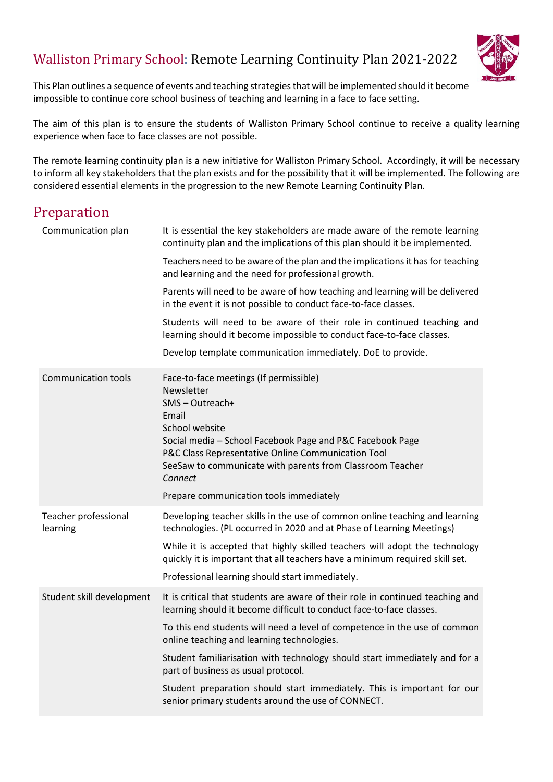## Walliston Primary School: Remote Learning Continuity Plan 2021-2022



This Plan outlines a sequence of events and teaching strategies that will be implemented should it become impossible to continue core school business of teaching and learning in a face to face setting.

The aim of this plan is to ensure the students of Walliston Primary School continue to receive a quality learning experience when face to face classes are not possible.

The remote learning continuity plan is a new initiative for Walliston Primary School. Accordingly, it will be necessary to inform all key stakeholders that the plan exists and for the possibility that it will be implemented. The following are considered essential elements in the progression to the new Remote Learning Continuity Plan.

## Preparation

| Communication plan               | It is essential the key stakeholders are made aware of the remote learning<br>continuity plan and the implications of this plan should it be implemented.                                                                                                                                   |
|----------------------------------|---------------------------------------------------------------------------------------------------------------------------------------------------------------------------------------------------------------------------------------------------------------------------------------------|
|                                  | Teachers need to be aware of the plan and the implications it has for teaching<br>and learning and the need for professional growth.                                                                                                                                                        |
|                                  | Parents will need to be aware of how teaching and learning will be delivered<br>in the event it is not possible to conduct face-to-face classes.                                                                                                                                            |
|                                  | Students will need to be aware of their role in continued teaching and<br>learning should it become impossible to conduct face-to-face classes.                                                                                                                                             |
|                                  | Develop template communication immediately. DoE to provide.                                                                                                                                                                                                                                 |
| <b>Communication tools</b>       | Face-to-face meetings (If permissible)<br>Newsletter<br>SMS-Outreach+<br>Email<br>School website<br>Social media - School Facebook Page and P&C Facebook Page<br>P&C Class Representative Online Communication Tool<br>SeeSaw to communicate with parents from Classroom Teacher<br>Connect |
|                                  | Prepare communication tools immediately                                                                                                                                                                                                                                                     |
| Teacher professional<br>learning | Developing teacher skills in the use of common online teaching and learning<br>technologies. (PL occurred in 2020 and at Phase of Learning Meetings)                                                                                                                                        |
|                                  | While it is accepted that highly skilled teachers will adopt the technology<br>quickly it is important that all teachers have a minimum required skill set.                                                                                                                                 |
|                                  | Professional learning should start immediately.                                                                                                                                                                                                                                             |
| Student skill development        | It is critical that students are aware of their role in continued teaching and<br>learning should it become difficult to conduct face-to-face classes.                                                                                                                                      |
|                                  | To this end students will need a level of competence in the use of common<br>online teaching and learning technologies.                                                                                                                                                                     |
|                                  | Student familiarisation with technology should start immediately and for a<br>part of business as usual protocol.                                                                                                                                                                           |
|                                  | Student preparation should start immediately. This is important for our<br>senior primary students around the use of CONNECT.                                                                                                                                                               |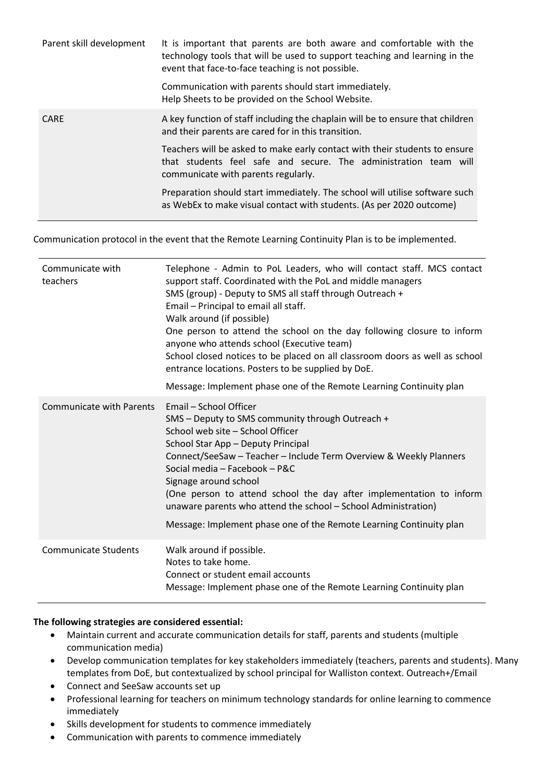| Parent skill development | It is important that parents are both aware and comfortable with the<br>technology tools that will be used to support teaching and learning in the<br>event that face-to-face teaching is not possible. |
|--------------------------|---------------------------------------------------------------------------------------------------------------------------------------------------------------------------------------------------------|
|                          | Communication with parents should start immediately.<br>Help Sheets to be provided on the School Website.                                                                                               |
| <b>CARE</b>              | A key function of staff including the chaplain will be to ensure that children<br>and their parents are cared for in this transition.                                                                   |
|                          | Teachers will be asked to make early contact with their students to ensure<br>that students feel safe and secure. The administration team will<br>communicate with parents regularly.                   |
|                          | Preparation should start immediately. The school will utilise software such<br>as WebEx to make visual contact with students. (As per 2020 outcome)                                                     |

Communication protocol in the event that the Remote Learning Continuity Plan is to be implemented.

| Communicate with<br>teachers    | Telephone - Admin to PoL Leaders, who will contact staff. MCS contact<br>support staff. Coordinated with the PoL and middle managers<br>SMS (group) - Deputy to SMS all staff through Outreach +<br>Email - Principal to email all staff.<br>Walk around (if possible)<br>One person to attend the school on the day following closure to inform<br>anyone who attends school (Executive team)<br>School closed notices to be placed on all classroom doors as well as school<br>entrance locations. Posters to be supplied by DoE. |
|---------------------------------|-------------------------------------------------------------------------------------------------------------------------------------------------------------------------------------------------------------------------------------------------------------------------------------------------------------------------------------------------------------------------------------------------------------------------------------------------------------------------------------------------------------------------------------|
|                                 | Message: Implement phase one of the Remote Learning Continuity plan                                                                                                                                                                                                                                                                                                                                                                                                                                                                 |
| <b>Communicate with Parents</b> | Email – School Officer<br>SMS - Deputy to SMS community through Outreach +<br>School web site - School Officer<br>School Star App - Deputy Principal<br>Connect/SeeSaw - Teacher - Include Term Overview & Weekly Planners<br>Social media - Facebook - P&C<br>Signage around school<br>(One person to attend school the day after implementation to inform<br>unaware parents who attend the school - School Administration)<br>Message: Implement phase one of the Remote Learning Continuity plan                                |
| <b>Communicate Students</b>     | Walk around if possible.<br>Notes to take home.<br>Connect or student email accounts<br>Message: Implement phase one of the Remote Learning Continuity plan                                                                                                                                                                                                                                                                                                                                                                         |

#### **The following strategies are considered essential:**

- Maintain current and accurate communication details for staff, parents and students (multiple communication media)
- Develop communication templates for key stakeholders immediately (teachers, parents and students). Many templates from DoE, but contextualized by school principal for Walliston context. Outreach+/Email
- Connect and SeeSaw accounts set up
- Professional learning for teachers on minimum technology standards for online learning to commence immediately
- Skills development for students to commence immediately
- Communication with parents to commence immediately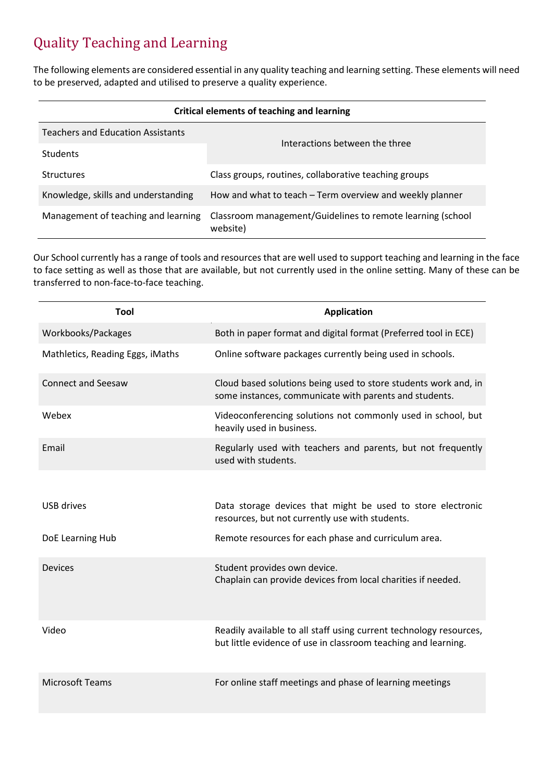## Quality Teaching and Learning

The following elements are considered essential in any quality teaching and learning setting. These elements will need to be preserved, adapted and utilised to preserve a quality experience.

| <b>Critical elements of teaching and learning</b> |                                                                        |  |  |  |
|---------------------------------------------------|------------------------------------------------------------------------|--|--|--|
| Teachers and Education Assistants                 | Interactions between the three                                         |  |  |  |
| <b>Students</b>                                   |                                                                        |  |  |  |
| Structures                                        | Class groups, routines, collaborative teaching groups                  |  |  |  |
| Knowledge, skills and understanding               | How and what to teach – Term overview and weekly planner               |  |  |  |
| Management of teaching and learning               | Classroom management/Guidelines to remote learning (school<br>website) |  |  |  |

Our School currently has a range of tools and resources that are well used to support teaching and learning in the face to face setting as well as those that are available, but not currently used in the online setting. Many of these can be transferred to non-face-to-face teaching.

| Tool                             | <b>Application</b>                                                                                                                   |
|----------------------------------|--------------------------------------------------------------------------------------------------------------------------------------|
| Workbooks/Packages               | Both in paper format and digital format (Preferred tool in ECE)                                                                      |
| Mathletics, Reading Eggs, iMaths | Online software packages currently being used in schools.                                                                            |
| <b>Connect and Seesaw</b>        | Cloud based solutions being used to store students work and, in<br>some instances, communicate with parents and students.            |
| Webex                            | Videoconferencing solutions not commonly used in school, but<br>heavily used in business.                                            |
| Email                            | Regularly used with teachers and parents, but not frequently<br>used with students.                                                  |
|                                  |                                                                                                                                      |
| <b>USB drives</b>                | Data storage devices that might be used to store electronic<br>resources, but not currently use with students.                       |
| DoE Learning Hub                 | Remote resources for each phase and curriculum area.                                                                                 |
| <b>Devices</b>                   | Student provides own device.<br>Chaplain can provide devices from local charities if needed.                                         |
| Video                            | Readily available to all staff using current technology resources,<br>but little evidence of use in classroom teaching and learning. |
| <b>Microsoft Teams</b>           | For online staff meetings and phase of learning meetings                                                                             |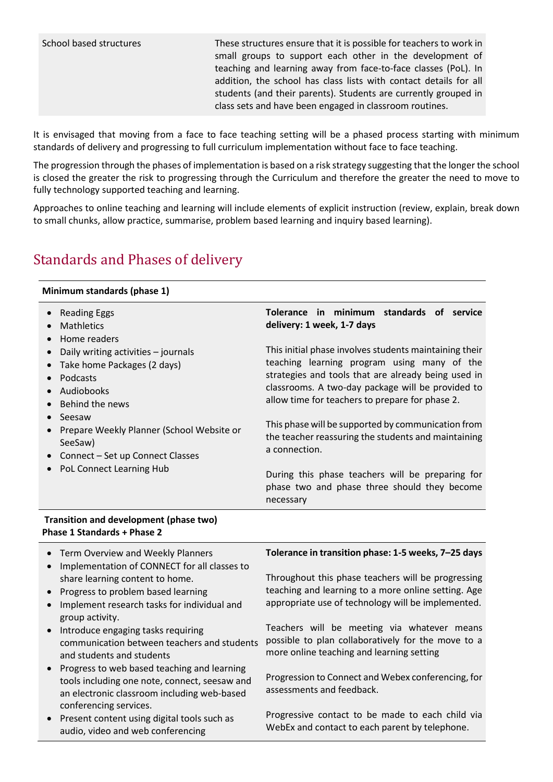| School based structures | These structures ensure that it is possible for teachers to work in<br>small groups to support each other in the development of<br>teaching and learning away from face-to-face classes (PoL). In<br>addition, the school has class lists with contact details for all<br>students (and their parents). Students are currently grouped in<br>class sets and have been engaged in classroom routines. |
|-------------------------|------------------------------------------------------------------------------------------------------------------------------------------------------------------------------------------------------------------------------------------------------------------------------------------------------------------------------------------------------------------------------------------------------|
|                         |                                                                                                                                                                                                                                                                                                                                                                                                      |

It is envisaged that moving from a face to face teaching setting will be a phased process starting with minimum standards of delivery and progressing to full curriculum implementation without face to face teaching.

The progression through the phases of implementation is based on a risk strategy suggesting that the longer the school is closed the greater the risk to progressing through the Curriculum and therefore the greater the need to move to fully technology supported teaching and learning.

Approaches to online teaching and learning will include elements of explicit instruction (review, explain, break down to small chunks, allow practice, summarise, problem based learning and inquiry based learning).

## Standards and Phases of delivery

#### **Minimum standards (phase 1)** • Reading Eggs • Mathletics • Home readers Daily writing activities – journals Take home Packages (2 days) • Podcasts Audiobooks • Behind the news • Seesaw Prepare Weekly Planner (School Website or SeeSaw) • Connect – Set up Connect Classes • PoL Connect Learning Hub **Tolerance in minimum standards of service delivery: 1 week, 1-7 days** This initial phase involves students maintaining their teaching learning program using many of the strategies and tools that are already being used in classrooms. A two-day package will be provided to allow time for teachers to prepare for phase 2. This phase will be supported by communication from the teacher reassuring the students and maintaining a connection. During this phase teachers will be preparing for phase two and phase three should they become necessary **Transition and development (phase two)**

# **Phase 1 Standards + Phase 2**

- Term Overview and Weekly Planners
- Implementation of CONNECT for all classes to share learning content to home.
- Progress to problem based learning
- Implement research tasks for individual and group activity.
- $\bullet$  Introduce engaging tasks requiring communication between teachers and students and students and students
- Progress to web based teaching and learning tools including one note, connect, seesaw and an electronic classroom including web-based conferencing services.
- Present content using digital tools such as audio, video and web conferencing

#### **Tolerance in transition phase: 1-5 weeks, 7–25 days**

Throughout this phase teachers will be progressing teaching and learning to a more online setting. Age appropriate use of technology will be implemented.

Teachers will be meeting via whatever means possible to plan collaboratively for the move to a more online teaching and learning setting

Progression to Connect and Webex conferencing, for assessments and feedback.

Progressive contact to be made to each child via WebEx and contact to each parent by telephone.